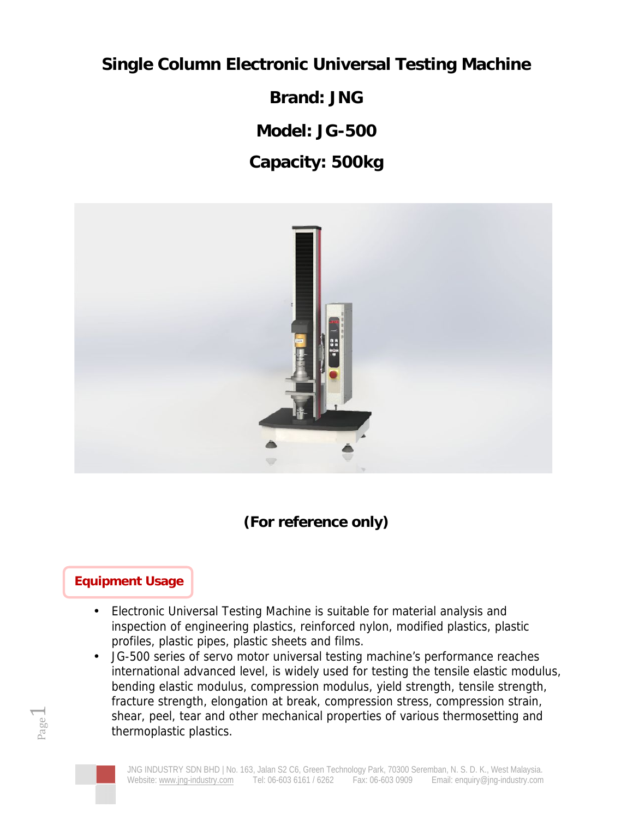**Single Column Electronic Universal Testing Machine**

**Brand: JNG**

**Model: JG-500**

**Capacity: 500kg**



**(For reference only)**

## **Equipment Usage**

- Electronic Universal Testing Machine is suitable for material analysis and inspection of engineering plastics, reinforced nylon, modified plastics, plastic profiles, plastic pipes, plastic sheets and films.
- Page shear, peel, tear and other mechanical properties of various thermosetting and • JG-500 series of servo motor universal testing machine's performance reaches international advanced level, is widely used for testing the tensile elastic modulus, bending elastic modulus, compression modulus, yield strength, tensile strength, fracture strength, elongation at break, compression stress, compression strain, thermoplastic plastics.



 $\overline{\phantom{0}}$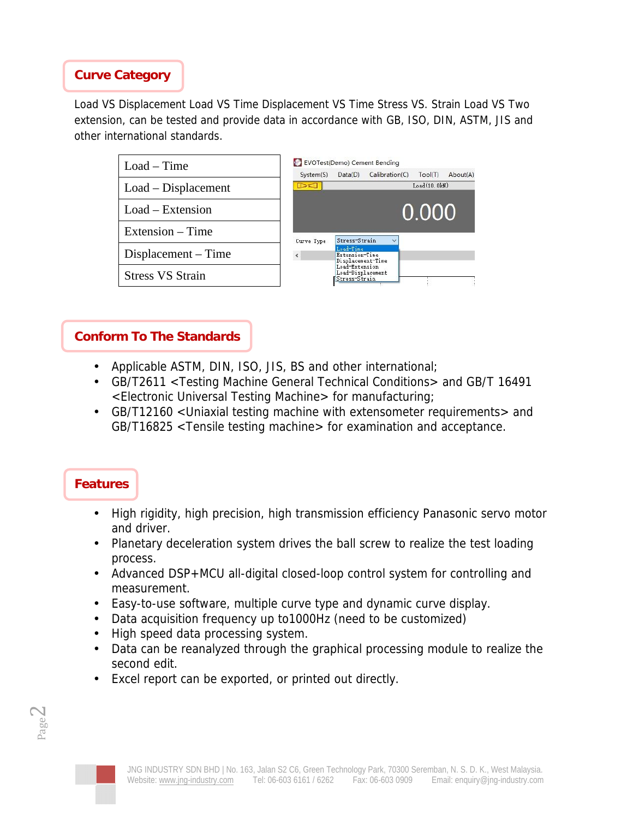## **Curve Category**

Load VS Displacement Load VS Time Displacement VS Time Stress VS. Strain Load VS Two extension, can be tested and provide data in accordance with GB, ISO, DIN, ASTM, JIS and other international standards.

 $bout(A)$ 

| $Load - Time$           | EVOTest(Demo) Cement Bending |                                                      |                |              |   |
|-------------------------|------------------------------|------------------------------------------------------|----------------|--------------|---|
|                         | System(S)                    | Data(D)                                              | Calibration(C) | Tool(T)      | A |
| $Load - Displacement$   | DI                           |                                                      |                | Load(10, 0k) |   |
| $Load - Extension$      |                              |                                                      |                | 0.000        |   |
| Extension – Time        | Curve Type                   | Stress-Strain                                        |                |              |   |
| Displacement – Time     |                              | Load-Time<br>Extension-Time<br>Displacement-Time     |                |              |   |
| <b>Stress VS Strain</b> |                              | Load-Extension<br>Load-Displacement<br>Stress-Strain |                |              |   |
|                         |                              |                                                      |                |              |   |

## **Conform To The Standards**

- Applicable ASTM, DIN, ISO, JIS, BS and other international;
- GB/T2611 <Testing Machine General Technical Conditions> and GB/T 16491 <Electronic Universal Testing Machine> for manufacturing;
- GB/T12160 <Uniaxial testing machine with extensometer requirements> and GB/T16825 <Tensile testing machine> for examination and acceptance.

## **Features**

- High rigidity, high precision, high transmission efficiency Panasonic servo motor and driver.
- Planetary deceleration system drives the ball screw to realize the test loading process.
- Advanced DSP+MCU all-digital closed-loop control system for controlling and measurement.
- Easy-to-use software, multiple curve type and dynamic curve display.
- Data acquisition frequency up to1000Hz (need to be customized)
- High speed data processing system.
- Data can be reanalyzed through the graphical processing module to realize the second edit.
- Excel report can be exported, or printed out directly.



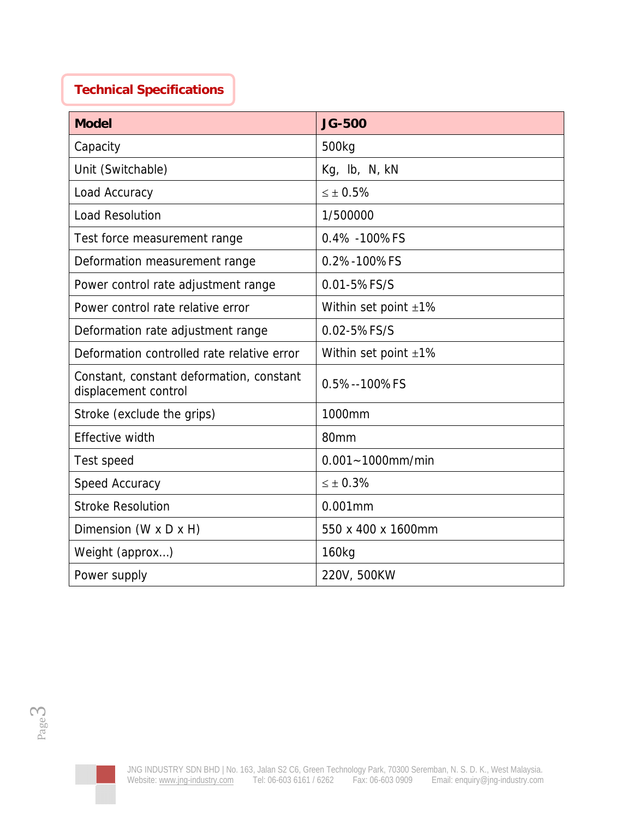## **Technical Specifications**

| <b>Model</b>                                                     | <b>JG-500</b>              |
|------------------------------------------------------------------|----------------------------|
| Capacity                                                         | 500kg                      |
| Unit (Switchable)                                                | Kg, lb, N, kN              |
| Load Accuracy                                                    | ± 0.5%                     |
| <b>Load Resolution</b>                                           | 1/500000                   |
| Test force measurement range                                     | 0.4% - 100% FS             |
| Deformation measurement range                                    | 0.2%-100%FS                |
| Power control rate adjustment range                              | 0.01-5%FS/S                |
| Power control rate relative error                                | Within set point $\pm 1\%$ |
| Deformation rate adjustment range                                | 0.02-5%FS/S                |
| Deformation controlled rate relative error                       | Within set point $\pm 1\%$ |
| Constant, constant deformation, constant<br>displacement control | 0.5%--100%FS               |
| Stroke (exclude the grips)                                       | 1000mm                     |
| Effective width                                                  | 80mm                       |
| Test speed                                                       | $0.001 - 1000$ mm/min      |
| Speed Accuracy                                                   | ± 0.3%                     |
| <b>Stroke Resolution</b>                                         | $0.001$ mm                 |
| Dimension (W x D x H)                                            | 550 x 400 x 1600mm         |
| Weight (approx)                                                  | 160kg                      |
| Power supply                                                     | 220V, 500KW                |

Page 2

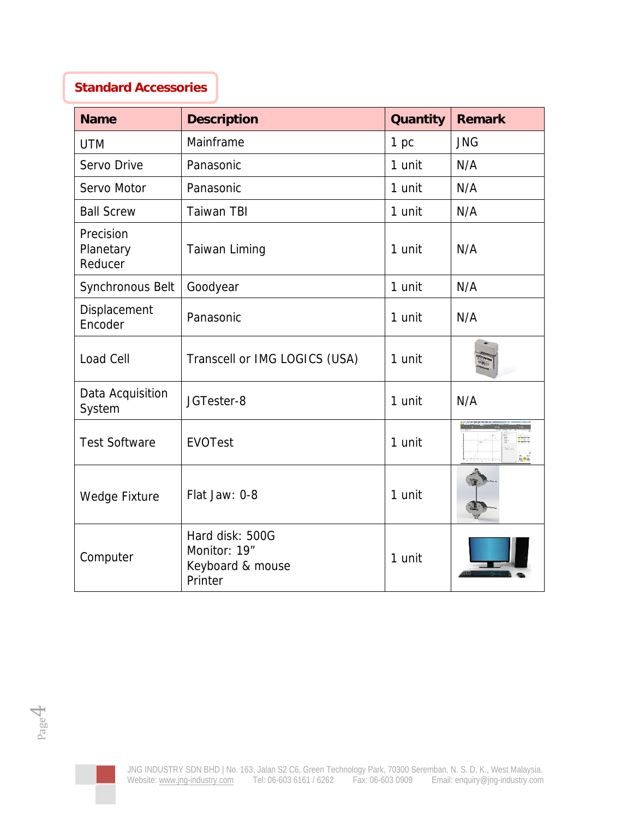## **Standard Accessories**

| <b>Name</b>                       | Description                                                    | Quantity | Remark     |
|-----------------------------------|----------------------------------------------------------------|----------|------------|
| <b>UTM</b>                        | Mainframe                                                      | 1 pc     | <b>JNG</b> |
| Servo Drive                       | Panasonic                                                      | 1 unit   | N/A        |
| Servo Motor                       | Panasonic                                                      | 1 unit   | N/A        |
| <b>Ball Screw</b>                 | <b>Taiwan TBI</b>                                              | 1 unit   | N/A        |
| Precision<br>Planetary<br>Reducer | Taiwan Liming                                                  | 1 unit   | N/A        |
| Synchronous Belt                  | Goodyear                                                       | 1 unit   | N/A        |
| Displacement<br>Encoder           | Panasonic                                                      | 1 unit   | N/A        |
| Load Cell                         | Transcell or IMG LOGICS (USA)                                  | 1 unit   |            |
| Data Acquisition<br>System        | JGTester-8                                                     | 1 unit   | N/A        |
| <b>Test Software</b>              | <b>EVOTest</b>                                                 | 1 unit   | $E = 12$   |
| Wedge Fixture                     | Flat Jaw: 0-8                                                  | 1 unit   |            |
| Computer                          | Hard disk: 500G<br>Monitor: 19"<br>Keyboard & mouse<br>Printer | 1 unit   |            |



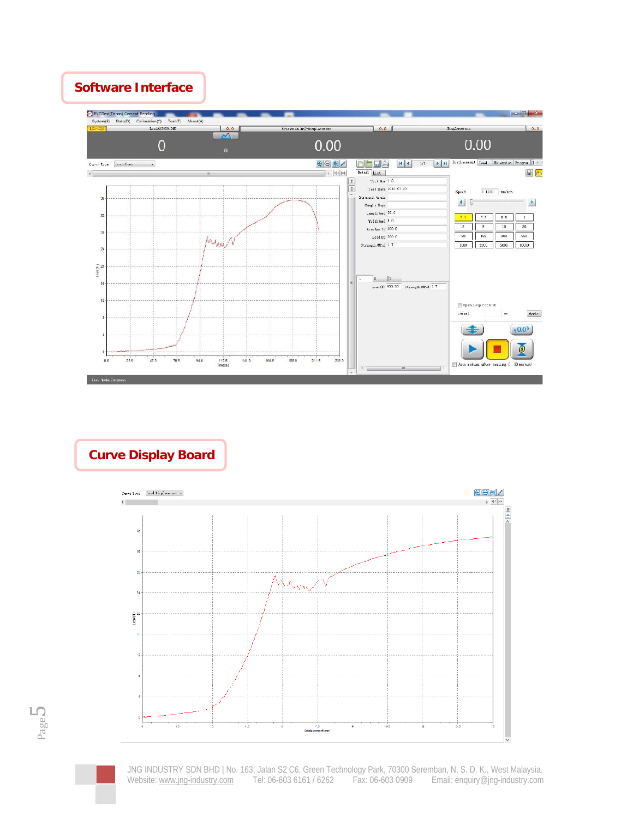### **Software Interface**



**Curve Display Board**





JNG INDUSTRY SDN BHD | No. 163, Jalan S2 C6, Green Technology Park, 70300 Seremban, N. S. D. K., West Malaysia. Website: <www.jng-industry.com> Tel: 06-603 6161 / 6262 Fax: 06-603 0909 Email: [enquiry@jng-industry.com](mailto:enquiry@jng-industry.com)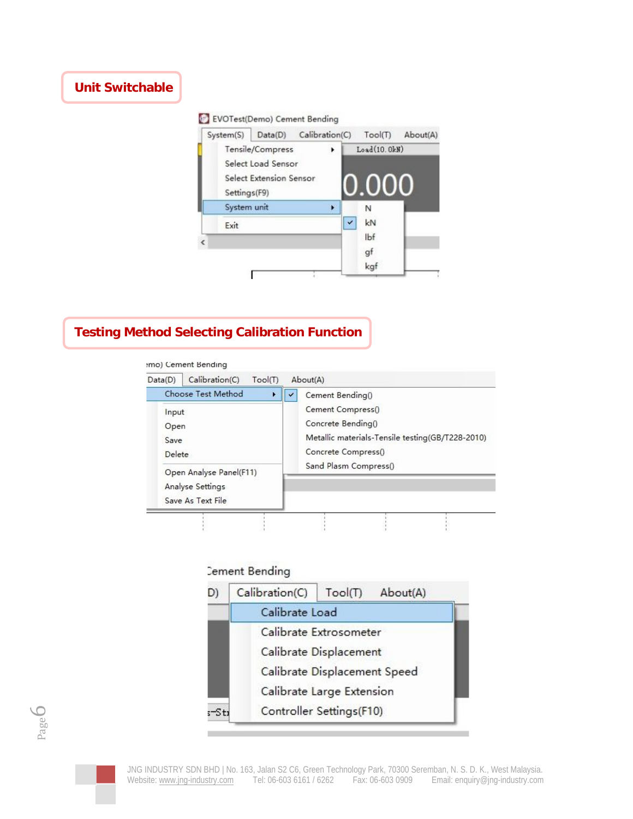# **Unit Switchable**

#### EVOTest(Demo) Cement Bending



## **Testing Method Selecting Calibration Function**

#### :mo) Cement Bending

| Choose Test Method                                               | Cement Bending()                                                                                                                            |
|------------------------------------------------------------------|---------------------------------------------------------------------------------------------------------------------------------------------|
| Input<br>Open<br>Save<br>Delete                                  | Cement Compress()<br>Concrete Bending()<br>Metallic materials-Tensile testing(GB/T228-2010)<br>Concrete Compress()<br>Sand Plasm Compress() |
| Open Analyse Panel(F11)<br>Analyse Settings<br>Save As Text File |                                                                                                                                             |

#### **Cement Bending**

| D)    | Calibration(C)               | Tool(T)<br>About(A)      |  |  |  |
|-------|------------------------------|--------------------------|--|--|--|
|       | Calibrate Load               |                          |  |  |  |
|       |                              | Calibrate Extrosometer   |  |  |  |
|       |                              | Calibrate Displacement   |  |  |  |
|       | Calibrate Displacement Speed |                          |  |  |  |
|       | Calibrate Large Extension    |                          |  |  |  |
| s-Sti |                              | Controller Settings(F10) |  |  |  |